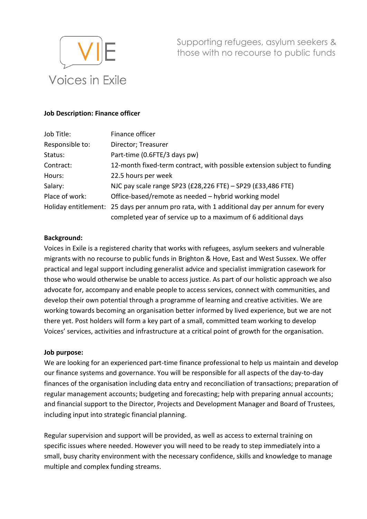

Supporting refugees, asylum seekers & those with no recourse to public funds

#### **Job Description: Finance officer**

| Job Title:      | Finance officer                                                                            |
|-----------------|--------------------------------------------------------------------------------------------|
| Responsible to: | Director; Treasurer                                                                        |
| Status:         | Part-time (0.6FTE/3 days pw)                                                               |
| Contract:       | 12-month fixed-term contract, with possible extension subject to funding                   |
| Hours:          | 22.5 hours per week                                                                        |
| Salary:         | NJC pay scale range SP23 (£28,226 FTE) - SP29 (£33,486 FTE)                                |
| Place of work:  | Office-based/remote as needed – hybrid working model                                       |
|                 | Holiday entitlement: 25 days per annum pro rata, with 1 additional day per annum for every |
|                 | completed year of service up to a maximum of 6 additional days                             |

#### **Background:**

Voices in Exile is a registered charity that works with refugees, asylum seekers and vulnerable migrants with no recourse to public funds in Brighton & Hove, East and West Sussex. We offer practical and legal support including generalist advice and specialist immigration casework for those who would otherwise be unable to access justice. As part of our holistic approach we also advocate for, accompany and enable people to access services, connect with communities, and develop their own potential through a programme of learning and creative activities. We are working towards becoming an organisation better informed by lived experience, but we are not there yet. Post holders will form a key part of a small, committed team working to develop Voices' services, activities and infrastructure at a critical point of growth for the organisation.

#### **Job purpose:**

We are looking for an experienced part-time finance professional to help us maintain and develop our finance systems and governance. You will be responsible for all aspects of the day-to-day finances of the organisation including data entry and reconciliation of transactions; preparation of regular management accounts; budgeting and forecasting; help with preparing annual accounts; and financial support to the Director, Projects and Development Manager and Board of Trustees, including input into strategic financial planning.

Regular supervision and support will be provided, as well as access to external training on specific issues where needed. However you will need to be ready to step immediately into a small, busy charity environment with the necessary confidence, skills and knowledge to manage multiple and complex funding streams.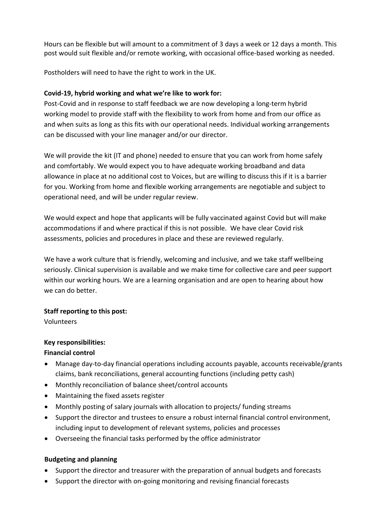Hours can be flexible but will amount to a commitment of 3 days a week or 12 days a month. This post would suit flexible and/or remote working, with occasional office-based working as needed.

Postholders will need to have the right to work in the UK.

# **Covid-19, hybrid working and what we're like to work for:**

Post-Covid and in response to staff feedback we are now developing a long-term hybrid working model to provide staff with the flexibility to work from home and from our office as and when suits as long as this fits with our operational needs. Individual working arrangements can be discussed with your line manager and/or our director.

We will provide the kit (IT and phone) needed to ensure that you can work from home safely and comfortably. We would expect you to have adequate working broadband and data allowance in place at no additional cost to Voices, but are willing to discuss this if it is a barrier for you. Working from home and flexible working arrangements are negotiable and subject to operational need, and will be under regular review.

We would expect and hope that applicants will be fully vaccinated against Covid but will make accommodations if and where practical if this is not possible. We have clear Covid risk assessments, policies and procedures in place and these are reviewed regularly.

We have a work culture that is friendly, welcoming and inclusive, and we take staff wellbeing seriously. Clinical supervision is available and we make time for collective care and peer support within our working hours. We are a learning organisation and are open to hearing about how we can do better.

## **Staff reporting to this post:**

Volunteers

# **Key responsibilities:**

## **Financial control**

- Manage day-to-day financial operations including accounts payable, accounts receivable/grants claims, bank reconciliations, general accounting functions (including petty cash)
- Monthly reconciliation of balance sheet/control accounts
- Maintaining the fixed assets register
- Monthly posting of salary journals with allocation to projects/ funding streams
- Support the director and trustees to ensure a robust internal financial control environment, including input to development of relevant systems, policies and processes
- Overseeing the financial tasks performed by the office administrator

# **Budgeting and planning**

- Support the director and treasurer with the preparation of annual budgets and forecasts
- Support the director with on-going monitoring and revising financial forecasts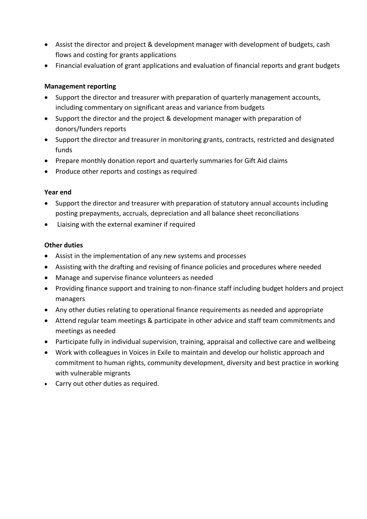- Assist the director and project & development manager with development of budgets, cash flows and costing for grants applications
- Financial evaluation of grant applications and evaluation of financial reports and grant budgets

## **Management reporting**

- Support the director and treasurer with preparation of quarterly management accounts, including commentary on significant areas and variance from budgets
- Support the director and the project & development manager with preparation of donors/funders reports
- Support the director and treasurer in monitoring grants, contracts, restricted and designated funds
- Prepare monthly donation report and quarterly summaries for Gift Aid claims
- Produce other reports and costings as required

#### **Year end**

- Support the director and treasurer with preparation of statutory annual accounts including posting prepayments, accruals, depreciation and all balance sheet reconciliations
- Liaising with the external examiner if required

## **Other duties**

- Assist in the implementation of any new systems and processes
- Assisting with the drafting and revising of finance policies and procedures where needed
- Manage and supervise finance volunteers as needed
- Providing finance support and training to non-finance staff including budget holders and project managers
- Any other duties relating to operational finance requirements as needed and appropriate
- Attend regular team meetings & participate in other advice and staff team commitments and meetings as needed
- Participate fully in individual supervision, training, appraisal and collective care and wellbeing
- Work with colleagues in Voices in Exile to maintain and develop our holistic approach and commitment to human rights, community development, diversity and best practice in working with vulnerable migrants
- Carry out other duties as required.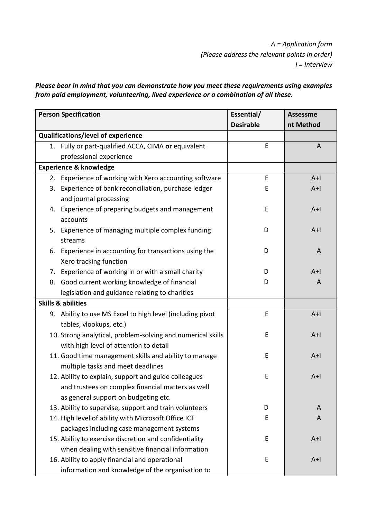*A = Application form (Please address the relevant points in order) I = Interview* 

*Please bear in mind that you can demonstrate how you meet these requirements using examples from paid employment, volunteering, lived experience or a combination of all these.* 

| <b>Person Specification</b>       |                                                             | Essential/       | <b>Assessme</b> |
|-----------------------------------|-------------------------------------------------------------|------------------|-----------------|
|                                   |                                                             | <b>Desirable</b> | nt Method       |
|                                   | Qualifications/level of experience                          |                  |                 |
|                                   | 1. Fully or part-qualified ACCA, CIMA or equivalent         | E                | $\overline{A}$  |
|                                   | professional experience                                     |                  |                 |
| <b>Experience &amp; knowledge</b> |                                                             |                  |                 |
|                                   | 2. Experience of working with Xero accounting software      | $\mathsf E$      | $A+I$           |
|                                   | 3. Experience of bank reconciliation, purchase ledger       | E                | $A+I$           |
|                                   | and journal processing                                      |                  |                 |
|                                   | 4. Experience of preparing budgets and management           | E                | $A+$            |
|                                   | accounts                                                    |                  |                 |
|                                   | 5. Experience of managing multiple complex funding          | D                | $A+I$           |
|                                   | streams                                                     |                  |                 |
| 6.                                | Experience in accounting for transactions using the         | D                | A               |
|                                   | Xero tracking function                                      |                  |                 |
| 7.                                | Experience of working in or with a small charity            | D                | $A+I$           |
|                                   | 8. Good current working knowledge of financial              | D                | A               |
|                                   | legislation and guidance relating to charities              |                  |                 |
| <b>Skills &amp; abilities</b>     |                                                             |                  |                 |
|                                   | 9. Ability to use MS Excel to high level (including pivot   | E                | $A+I$           |
|                                   | tables, vlookups, etc.)                                     |                  |                 |
|                                   | 10. Strong analytical, problem-solving and numerical skills | E                | $A+$            |
|                                   | with high level of attention to detail                      |                  |                 |
|                                   | 11. Good time management skills and ability to manage       | E                | $A+$            |
|                                   | multiple tasks and meet deadlines                           |                  |                 |
|                                   | 12. Ability to explain, support and guide colleagues        | E                | $A+I$           |
|                                   | and trustees on complex financial matters as well           |                  |                 |
|                                   | as general support on budgeting etc.                        |                  |                 |
|                                   | 13. Ability to supervise, support and train volunteers      | D                | A               |
|                                   | 14. High level of ability with Microsoft Office ICT         | E                | A               |
|                                   | packages including case management systems                  |                  |                 |
|                                   | 15. Ability to exercise discretion and confidentiality      | E                | $A+I$           |
|                                   | when dealing with sensitive financial information           |                  |                 |
|                                   | 16. Ability to apply financial and operational              | E                | $A+$            |
|                                   | information and knowledge of the organisation to            |                  |                 |